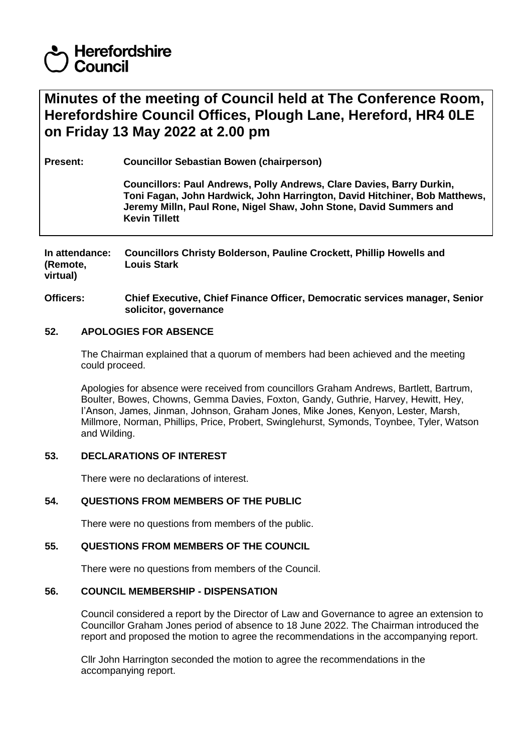# **Herefordshire** Council

## **Minutes of the meeting of Council held at The Conference Room, Herefordshire Council Offices, Plough Lane, Hereford, HR4 0LE on Friday 13 May 2022 at 2.00 pm**

**Present: Councillor Sebastian Bowen (chairperson)**

**Councillors: Paul Andrews, Polly Andrews, Clare Davies, Barry Durkin, Toni Fagan, John Hardwick, John Harrington, David Hitchiner, Bob Matthews, Jeremy Milln, Paul Rone, Nigel Shaw, John Stone, David Summers and Kevin Tillett**

**In attendance: (Remote, virtual) Councillors Christy Bolderson, Pauline Crockett, Phillip Howells and Louis Stark**

**Officers: Chief Executive, Chief Finance Officer, Democratic services manager, Senior solicitor, governance** 

## **52. APOLOGIES FOR ABSENCE**

The Chairman explained that a quorum of members had been achieved and the meeting could proceed.

Apologies for absence were received from councillors Graham Andrews, Bartlett, Bartrum, Boulter, Bowes, Chowns, Gemma Davies, Foxton, Gandy, Guthrie, Harvey, Hewitt, Hey, I'Anson, James, Jinman, Johnson, Graham Jones, Mike Jones, Kenyon, Lester, Marsh, Millmore, Norman, Phillips, Price, Probert, Swinglehurst, Symonds, Toynbee, Tyler, Watson and Wilding.

## **53. DECLARATIONS OF INTEREST**

There were no declarations of interest.

## **54. QUESTIONS FROM MEMBERS OF THE PUBLIC**

There were no questions from members of the public.

### **55. QUESTIONS FROM MEMBERS OF THE COUNCIL**

There were no questions from members of the Council.

### **56. COUNCIL MEMBERSHIP - DISPENSATION**

Council considered a report by the Director of Law and Governance to agree an extension to Councillor Graham Jones period of absence to 18 June 2022. The Chairman introduced the report and proposed the motion to agree the recommendations in the accompanying report.

Cllr John Harrington seconded the motion to agree the recommendations in the accompanying report.